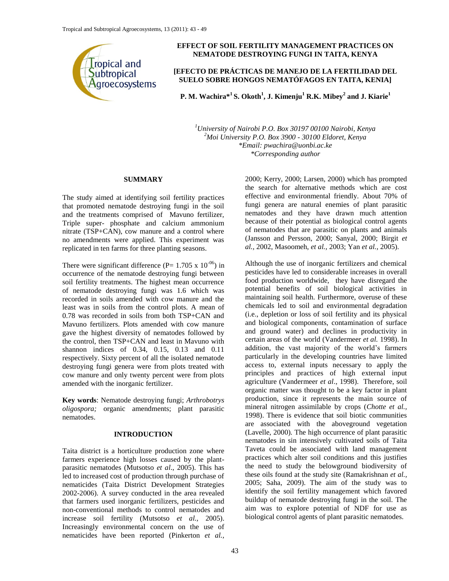

# **EFFECT OF SOIL FERTILITY MANAGEMENT PRACTICES ON NEMATODE DESTROYING FUNGI IN TAITA, KENYA**

## **[EFECTO DE PRÁCTICAS DE MANEJO DE LA FERTILIDAD DEL SUELO SOBRE HONGOS NEMATÓFAGOS EN TAITA, KENIA]**

**P. M. Wachira\*<sup>1</sup>S. Okoth<sup>1</sup> , J. Kimenju<sup>1</sup> R.K. Mibey<sup>2</sup> and J. Kiarie<sup>1</sup>**

*<sup>1</sup>University of Nairobi P.O. Box 30197 00100 Nairobi, Kenya <sup>2</sup>Moi University P.O. Box 3900 - 30100 Eldoret, Kenya \*Email: pwachira@uonbi.ac.ke \*Corresponding author*

## **SUMMARY**

The study aimed at identifying soil fertility practices that promoted nematode destroying fungi in the soil and the treatments comprised of Mavuno fertilizer, Triple super- phosphate and calcium ammonium nitrate (TSP+CAN), cow manure and a control where no amendments were applied. This experiment was replicated in ten farms for three planting seasons.

There were significant difference (P=  $1.705 \times 10^{-06}$ ) in occurrence of the nematode destroying fungi between soil fertility treatments. The highest mean occurrence of nematode destroying fungi was 1.6 which was recorded in soils amended with cow manure and the least was in soils from the control plots. A mean of 0.78 was recorded in soils from both TSP+CAN and Mavuno fertilizers. Plots amended with cow manure gave the highest diversity of nematodes followed by the control, then TSP+CAN and least in Mavuno with shannon indices of 0.34, 0.15, 0.13 and 0.11 respectively. Sixty percent of all the isolated nematode destroying fungi genera were from plots treated with cow manure and only twenty percent were from plots amended with the inorganic fertilizer.

**Key words**: Nematode destroying fungi; *Arthrobotrys oligospora;* organic amendments; plant parasitic nematodes.

# **INTRODUCTION**

Taita district is a horticulture production zone where farmers experience high losses caused by the plantparasitic nematodes (Mutsotso *et al*., 2005). This has led to increased cost of production through purchase of nematicides (Taita District Development Strategies 2002-2006). A survey conducted in the area revealed that farmers used inorganic fertilizers, pesticides and non-conventional methods to control nematodes and increase soil fertility (Mutsotso *et al.,* 2005). Increasingly environmental concern on the use of nematicides have been reported (Pinkerton *et al.,*

2000; Kerry, 2000; Larsen, 2000) which has prompted the search for alternative methods which are cost effective and environmental friendly. About 70% of fungi genera are natural enemies of plant parasitic nematodes and they have drawn much attention because of their potential as biological control agents of nematodes that are parasitic on plants and animals (Jansson and Persson, 2000; Sanyal, 2000; Birgit *et al.,* 2002, Masoomeh, *et al.,* 2003; Yan *et al.,* 2005).

Although the use of inorganic fertilizers and chemical pesticides have led to considerable increases in overall food production worldwide, they have disregard the potential benefits of soil biological activities in maintaining soil health. Furthermore, overuse of these chemicals led to soil and environmental degradation (i.e., depletion or loss of soil fertility and its physical and biological components, contamination of surface and ground water) and declines in productivity in certain areas of the world (Vandermeer *et al.* 1998). In addition, the vast majority of the world's farmers particularly in the developing countries have limited access to, external inputs necessary to apply the principles and practices of high external input agriculture (Vandermeer *et al*., 1998). Therefore, soil organic matter was thought to be a key factor in plant production, since it represents the main source of mineral nitrogen assimilable by crops (*Chotte et al.,* 1998). There is evidence that soil biotic communities are associated with the aboveground vegetation (Lavelle, 2000). The high occurrence of plant parasitic nematodes in sin intensively cultivated soils of Taita Taveta could be associated with land management practices which alter soil conditions and this justifies the need to study the belowground biodiversity of these oils found at the study site (Ramakrishnan *et al.,* 2005; Saha, 2009). The aim of the study was to identify the soil fertility management which favored buildup of nematode destroying fungi in the soil. The aim was to explore potential of NDF for use as biological control agents of plant parasitic nematodes.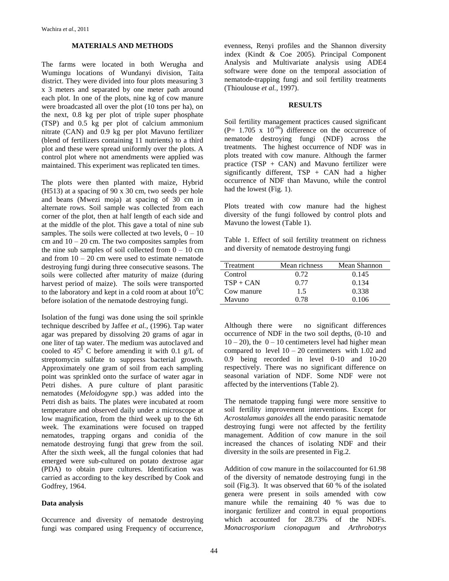#### **MATERIALS AND METHODS**

The farms were located in both Werugha and Wumingu locations of Wundanyi division, Taita district. They were divided into four plots measuring 3 x 3 meters and separated by one meter path around each plot. In one of the plots, nine kg of cow manure were broadcasted all over the plot (10 tons per ha), on the next, 0.8 kg per plot of triple super phosphate (TSP) and 0.5 kg per plot of calcium ammonium nitrate (CAN) and 0.9 kg per plot Mavuno fertilizer (blend of fertilizers containing 11 nutrients) to a third plot and these were spread uniformly over the plots. A control plot where not amendments were applied was maintained. This experiment was replicated ten times.

The plots were then planted with maize, Hybrid (H513) at a spacing of 90 x 30 cm, two seeds per hole and beans (Mwezi moja) at spacing of 30 cm in alternate rows. Soil sample was collected from each corner of the plot, then at half length of each side and at the middle of the plot. This gave a total of nine sub samples. The soils were collected at two levels,  $0 - 10$ cm and  $10 - 20$  cm. The two composites samples from the nine sub samples of soil collected from  $0 - 10$  cm and from  $10 - 20$  cm were used to estimate nematode destroying fungi during three consecutive seasons. The soils were collected after maturity of maize (during harvest period of maize). The soils were transported to the laboratory and kept in a cold room at about  $10^{0}C$ before isolation of the nematode destroying fungi.

Isolation of the fungi was done using the soil sprinkle technique described by Jaffee *et al.,* (1996). Tap water agar was prepared by dissolving 20 grams of agar in one liter of tap water. The medium was autoclaved and cooled to  $45^{\circ}$  C before amending it with 0.1 g/L of streptomycin sulfate to suppress bacterial growth. Approximately one gram of soil from each sampling point was sprinkled onto the surface of water agar in Petri dishes. A pure culture of plant parasitic nematodes (*Meloidogyne* spp.) was added into the Petri dish as baits. The plates were incubated at room temperature and observed daily under a microscope at low magnification, from the third week up to the 6th week. The examinations were focused on trapped nematodes, trapping organs and conidia of the nematode destroying fungi that grew from the soil. After the sixth week, all the fungal colonies that had emerged were sub-cultured on potato dextrose agar (PDA) to obtain pure cultures. Identification was carried as according to the key described by Cook and Godfrey, 1964.

#### **Data analysis**

Occurrence and diversity of nematode destroying fungi was compared using Frequency of occurrence,

evenness, Renyi profiles and the Shannon diversity index (Kindt & Coe 2005). Principal Component Analysis and Multivariate analysis using ADE4 software were done on the temporal association of nematode-trapping fungi and soil fertility treatments (Thioulouse *et al.,* 1997).

## **RESULTS**

Soil fertility management practices caused significant  $(P= 1.705 \times 10^{-06})$  difference on the occurrence of nematode destroying fungi (NDF) across the treatments. The highest occurrence of NDF was in plots treated with cow manure. Although the farmer practice  $(TSP + CAN)$  and Mavuno fertilizer were significantly different,  $TSP + CAN$  had a higher occurrence of NDF than Mavuno, while the control had the lowest (Fig. 1).

Plots treated with cow manure had the highest diversity of the fungi followed by control plots and Mavuno the lowest (Table 1).

Table 1. Effect of soil fertility treatment on richness and diversity of nematode destroying fungi

| Treatment   | Mean richness | Mean Shannon |
|-------------|---------------|--------------|
| Control     | 0.72          | 0.145        |
| $TSP + CAN$ | 0.77          | 0.134        |
| Cow manure  | 1.5           | 0.338        |
| Mavuno      | O 78          | 0.106        |

Although there were no significant differences occurrence of NDF in the two soil depths, (0-10 and  $10 - 20$ ), the  $0 - 10$  centimeters level had higher mean compared to level  $10 - 20$  centimeters with 1.02 and 0.9 being recorded in level 0-10 and 10-20 respectively. There was no significant difference on seasonal variation of NDF. Some NDF were not affected by the interventions (Table 2).

The nematode trapping fungi were more sensitive to soil fertility improvement interventions. Except for *Acrostalamus ganoides* all the endo parasitic nematode destroying fungi were not affected by the fertility management. Addition of cow manure in the soil increased the chances of isolating NDF and their diversity in the soils are presented in Fig.2.

Addition of cow manure in the soilaccounted for 61.98 of the diversity of nematode destroying fungi in the soil (Fig.3). It was observed that 60 % of the isolated genera were present in soils amended with cow manure while the remaining 40 % was due to inorganic fertilizer and control in equal proportions which accounted for 28.73% of the NDFs. *Monacrosporium cionopagum* and *Arthrobotrys*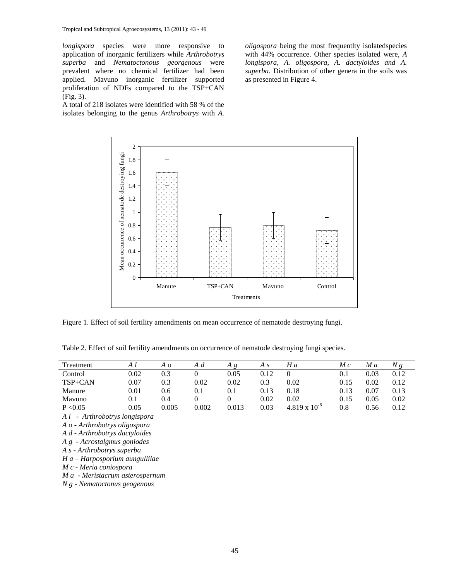*longispora* species were more responsive to application of inorganic fertilizers while *Arthrobotrys superba* and *Nematoctonous georgenous* were prevalent where no chemical fertilizer had been applied. Mavuno inorganic fertilizer supported proliferation of NDFs compared to the TSP+CAN (Fig. 3).

A total of 218 isolates were identified with 58 % of the isolates belonging to the genus *Arthrobotrys* with *A.* 

*oligospora* being the most frequentlty isolatedspecies with 44% occurrence. Other species isolated were, *A longispora, A. oligospora, A. dactyloides and A. superba.* Distribution of other genera in the soils was as presented in Figure 4.



Figure 1. Effect of soil fertility amendments on mean occurrence of nematode destroying fungi.

Table 2. Effect of soil fertility amendments on occurrence of nematode destroying fungi species.

| Treatment |          | Aο    | A d       | Α     | A s  | H a                    | $M_{\rm c}$ | M a  | Ng   |
|-----------|----------|-------|-----------|-------|------|------------------------|-------------|------|------|
| Control   | 0.02     | 0.3   |           | 0.05  | 0.12 |                        | 0.1         | 0.03 | 0.12 |
| TSP+CAN   | 0.07     | 0.3   | 0.02      | 0.02  | 0.3  | 0.02                   | 0.15        | 0.02 | 0.12 |
| Manure    | $0.01\,$ | 0.6   | $\rm 0.1$ | 0.1   | 0.13 | 0.18                   | 0.13        | 0.07 | 0.13 |
| Mavuno    | 0.1      | 0.4   |           |       | 0.02 | 0.02                   | 0.15        | 0.05 | 0.02 |
| P < 0.05  | 0.05     | 0.005 | 0.002     | 0.013 | 0.03 | $4.819 \times 10^{-6}$ | $0.8\,$     | 0.56 | 0.12 |

*A l - Arthrobotrys longispora*

*A o - Arthrobotrys oligospora*

*A d - Arthrobotrys dactyloides*

*A g - Acrostalgmus goniodes*

*A s - Arthrobotrys superba*

*H a – Harposporium aungullilae*

*M c - Meria coniospora*

*M a - Meristacrum asterospernum*

*N g - Nematoctonus geogenous*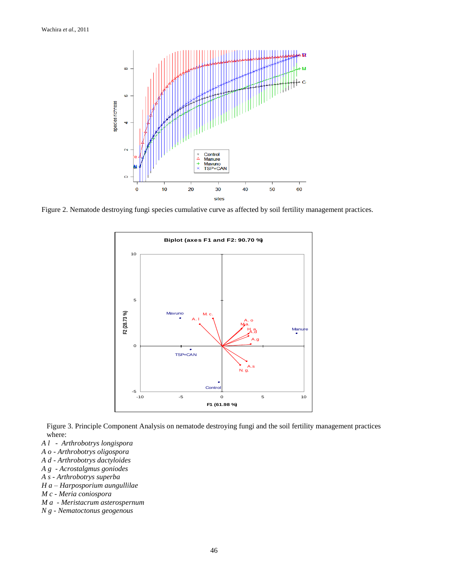

Figure 2. Nematode destroying fungi species cumulative curve as affected by soil fertility management practices.



Figure 3. Principle Component Analysis on nematode destroying fungi and the soil fertility management practices where:

- *A l Arthrobotrys longispora*
- *A o - Arthrobotrys oligospora*
- *A d - Arthrobotrys dactyloides*
- *A g - Acrostalgmus goniodes*
- *A s - Arthrobotrys superba*
- *H a – Harposporium aungullilae*
- *M c - Meria coniospora*
- *M a - Meristacrum asterospernum*
- *N g - Nematoctonus geogenous*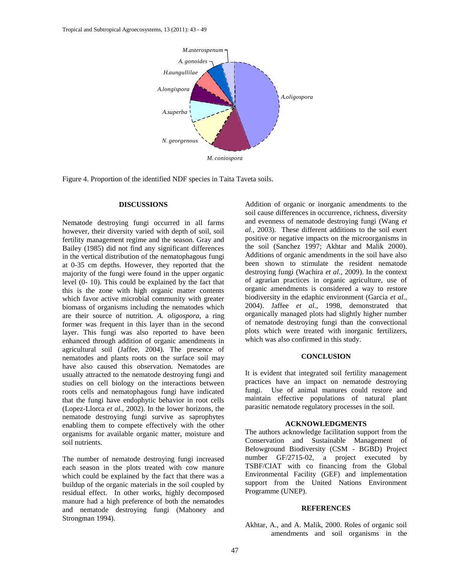

Figure 4. Proportion of the identified NDF species in Taita Taveta soils.

## **DISCUSSIONS**

Nematode destroying fungi occurred in all farms however, their diversity varied with depth of soil, soil fertility management regime and the season. Gray and Bailey (1985) did not find any significant differences in the vertical distribution of the nematophagous fungi at 0-35 cm depths. However, they reported that the majority of the fungi were found in the upper organic level (0- 10). This could be explained by the fact that this is the zone with high organic matter contents which favor active microbial community with greater biomass of organisms including the nematodes which are their source of nutrition. *A. oligospora,* a ring former was frequent in this layer than in the second layer. This fungi was also reported to have been enhanced through addition of organic amendments in agricultural soil (Jaffee, 2004). The presence of nematodes and plants roots on the surface soil may have also caused this observation. Nematodes are usually attracted to the nematode destroying fungi and studies on cell biology on the interactions between roots cells and nematophagous fungi have indicated that the fungi have endophytic behavior in root cells (Lopez-Llorca *et al.,* 2002). In the lower horizons, the nematode destroying fungi survive as saprophytes enabling them to compete effectively with the other organisms for available organic matter, moisture and soil nutrients.

The number of nematode destroying fungi increased each season in the plots treated with cow manure which could be explained by the fact that there was a buildup of the organic materials in the soil coupled by residual effect. In other works, highly decomposed manure had a high preference of both the nematodes and nematode destroying fungi (Mahoney and Strongman 1994).

Addition of organic or inorganic amendments to the soil cause differences in occurrence, richness, diversity and evenness of nematode destroying fungi (Wang *et al.,* 2003). These different additions to the soil exert positive or negative impacts on the microorganisms in the soil (Sanchez 1997; Akhtar and Malik 2000). Additions of organic amendments in the soil have also been shown to stimulate the resident nematode destroying fungi (Wachira *et al.,* 2009). In the context of agrarian practices in organic agriculture, use of organic amendments is considered a way to restore biodiversity in the edaphic environment (Garcia *et al.,* 2004). Jaffee *et al.,* 1998, demonstrated that organically managed plots had slightly higher number of nematode destroying fungi than the convectional plots which were treated with inorganic fertilizers, which was also confirmed in this study.

#### **CONCLUSION**

It is evident that integrated soil fertility management practices have an impact on nematode destroying fungi. Use of animal manures could restore and maintain effective populations of natural plant parasitic nematode regulatory processes in the soil.

#### **ACKNOWLEDGMENTS**

The authors acknowledge facilitation support from the Conservation and Sustainable Management of Belowground Biodiversity (CSM - BGBD) Project number GF/2715-02, a project executed by TSBF/CIAT with co financing from the Global Environmental Facility (GEF) and implementation support from the United Nations Environment Programme (UNEP).

## **REFERENCES**

Akhtar, A., and A. Malik, 2000. Roles of organic soil amendments and soil organisms in the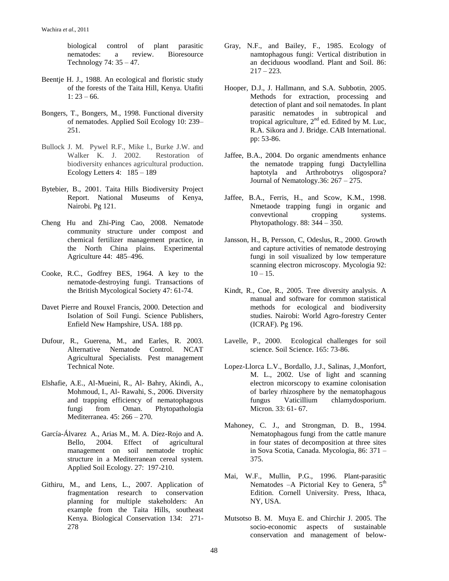biological control of plant parasitic nematodes: a review. Bioresource Technology 74: 35 – 47.

- Beentje H. J., 1988. An ecological and floristic study of the forests of the Taita Hill, Kenya. Utafiti  $1: 23 - 66.$
- Bongers, T., Bongers, M., 1998. Functional diversity of nematodes. Applied Soil Ecology 10: 239– 251.
- Bullock J. M. Pywel R.F., Mike l., Burke J.W. and Walker K. J. 2002. Restoration of biodiversity enhances agricultural production. [Ecology Letters](http://www3.interscience.wiley.com/journal/118545752/home) [4:](http://www3.interscience.wiley.com/journal/119029768/issue) 185 – 189
- Bytebier, B., 2001. Taita Hills Biodiversity Project Report. National Museums of Kenya, Nairobi. Pg 121.
- Cheng Hu and Zhi-Ping Cao, 2008. Nematode community structure under compost and chemical fertilizer management practice, in the North China plains. Experimental Agriculture 44: 485–496.
- Cooke, R.C., Godfrey BES, 1964. A key to the nematode-destroying fungi. Transactions of the British Mycological Society 47: 61-74.
- Davet Pierre and Rouxel Francis, 2000. Detection and Isolation of Soil Fungi. Science Publishers, Enfield New Hampshire, USA. 188 pp.
- Dufour, R., Guerena, M., and Earles, R. 2003. Alternative Nematode Control. NCAT Agricultural Specialists. Pest management Technical Note.
- Elshafie, A.E., Al-Mueini, R., Al- Bahry, Akindi, A., Mohmoud, I., Al- Rawahi, S., 2006. Diversity and trapping efficiency of nematophagous fungi from Oman. Phytopathologia Mediterranea. 45: 266 – 270.
- García-Álvarez A., Arias M., M. A. Díez-Rojo and A. Bello, 2004. Effect of agricultural management on soil nematode trophic structure in a Mediterranean cereal system. Applied Soil Ecology. 27: 197-210.
- Githiru, M., and Lens, L., 2007. Application of fragmentation research to conservation planning for multiple stakeholders: An example from the Taita Hills, southeast Kenya. [Biological Conservation](http://www.sciencedirect.com/science/journal/00063207) [134:](http://www.sciencedirect.com/science?_ob=PublicationURL&_tockey=%23TOC%235798%232007%23998659997%23638308%23FLA%23&_cdi=5798&_pubType=J&_auth=y&_acct=C000050221&_version=1&_urlVersion=0&_userid=10&md5=3e476ff9ee13c24f6f16111c3a3a241a) 271- 278
- Gray, N.F., and Bailey, F., 1985. Ecology of namtophagous fungi: Vertical distribution in an deciduous woodland. Plant and Soil. 86:  $217 - 223$ .
- Hooper, D.J., J. Hallmann, and S.A. Subbotin, 2005. Methods for extraction, processing and detection of plant and soil nematodes. In plant parasitic nematodes in subtropical and tropical agriculture,  $2<sup>nd</sup>$  ed. Edited by M. Luc, R.A. Sikora and J. Bridge. CAB International. pp: 53-86.
- Jaffee, B.A., 2004. Do organic amendments enhance the nematode trapping fungi Dactylellina haptotyla and Arthrobotrys oligospora? Journal of Nematology.36: 267 – 275.
- Jaffee, B.A., Ferris, H., and Scow, K.M., 1998. Nmetaode trapping fungi in organic and convevtional cropping systems. Phytopathology. 88: 344 – 350.
- Jansson, H., B, Persson, C, Odeslus, R., 2000. Growth and capture activities of nematode destroying fungi in soil visualized by low temperature scanning electron microscopy. Mycologia 92:  $10 - 15$ .
- Kindt, R., Coe, R., 2005. Tree diversity analysis. A manual and software for common statistical methods for ecological and biodiversity studies. Nairobi: World Agro-forestry Center (ICRAF). Pg 196.
- Lavelle, P., 2000. Ecological challenges for soil science. Soil Science. 165: 73-86.
- Lopez-Llorca L.V., Bordallo, J.J., Salinas, J.,Monfort, M. L., 2002. Use of light and scanning electron micorscopy to examine colonisation of barley rhizosphere by the nematophagous fungus Vaticillium chlamydosporium. Micron. 33: 61- 67.
- Mahoney, C. J., and Strongman, D. B., 1994. Nematophagous fungi from the cattle manure in four states of decomposition at three sites in Sova Scotia, Canada. Mycologia, 86: 371 – 375.
- Mai, W.F., Mullin, P.G., 1996. Plant-parasitic Nematodes -A Pictorial Key to Genera,  $5<sup>th</sup>$ Edition. Cornell University. Press, Ithaca, NY, USA.
- Mutsotso B. M. Muya E. and Chirchir J. 2005. The socio-economic aspects of sustainable conservation and management of below-